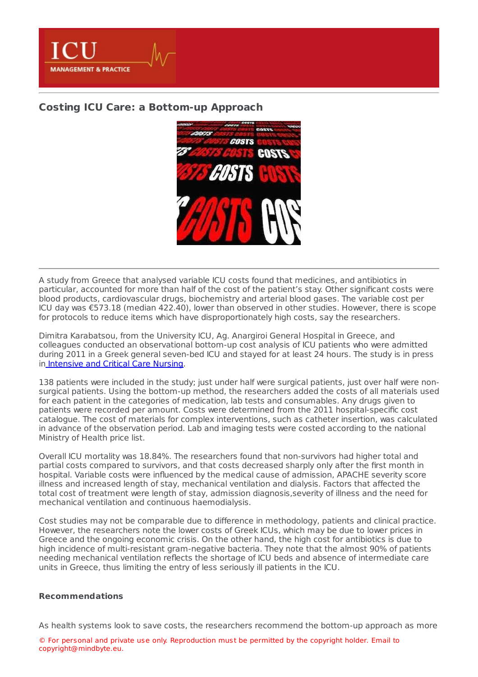

## **Costing ICU Care: a [Bottom-up](https://healthmanagement.org/s/costing-icu-care-a-bottom-up-approach) Approach**



A study from Greece that analysed variable ICU costs found that medicines, and antibiotics in particular, accounted for more than half of the cost of the patient's stay. Other significant costs were blood products, cardiovascular drugs, biochemistry and arterial blood gases. The variable cost per ICU day was €573.18 (median 422.40), lower than observed in other studies. However, there is scope for protocols to reduce items which have disproportionately high costs, say the researchers.

Dimitra Karabatsou, from the University ICU, Ag. Anargiroi General Hospital in Greece, and colleagues conducted an observational bottom-up cost analysis of ICU patients who were admitted during 2011 in a Greek general seven-bed ICU and stayed for at least 24 hours. The study is in press in [Intensive](http://www.intensivecriticalcarenursing.com/) and Critical Care Nursing.

138 patients were included in the study; just under half were surgical patients, just over half were nonsurgical patients. Using the bottom-up method, the researchers added the costs of all materials used for each patient in the categories of medication, lab tests and consumables. Any drugs given to patients were recorded per amount. Costs were determined from the 2011 hospital-specific cost catalogue. The cost of materials for complex interventions, such as catheter insertion, was calculated in advance of the observation period. Lab and imaging tests were costed according to the national Ministry of Health price list.

Overall ICU mortality was 18.84%. The researchers found that non-survivors had higher total and partial costs compared to survivors, and that costs decreased sharply only after the first month in hospital. Variable costs were influenced by the medical cause of admission, APACHE severity score illness and increased length of stay, mechanical ventilation and dialysis. Factors that affected the total cost of treatment were length of stay, admission diagnosis,severity of illness and the need for mechanical ventilation and continuous haemodialysis.

Cost studies may not be comparable due to difference in methodology, patients and clinical practice. However, the researchers note the lower costs of Greek ICUs, which may be due to lower prices in Greece and the ongoing economic crisis. On the other hand, the high cost for antibiotics is due to high incidence of multi-resistant gram-negative bacteria. They note that the almost 90% of patients needing mechanical ventilation reflects the shortage of ICU beds and absence of intermediate care units in Greece, thus limiting the entry of less seriously ill patients in the ICU.

## **Recommendations**

As health systems look to save costs, the researchers recommend the bottom-up approach as more

© For personal and private use only. Reproduction must be permitted by the copyright holder. Email to copyright@mindbyte.eu.